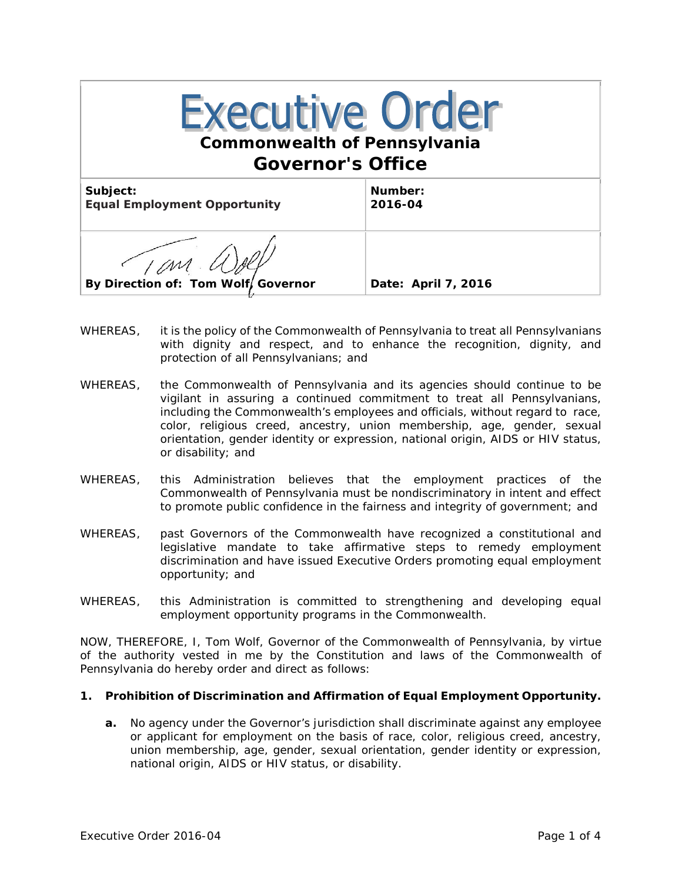| <b>Executive Order</b><br><b>Commonwealth of Pennsylvania</b><br><b>Governor's Office</b> |                     |
|-------------------------------------------------------------------------------------------|---------------------|
| Subject:<br><b>Equal Employment Opportunity</b>                                           | Number:<br>2016-04  |
| By Direction of: Tom Wolf, Governor                                                       | Date: April 7, 2016 |

- WHEREAS, it is the policy of the Commonwealth of Pennsylvania to treat all Pennsylvanians with dignity and respect, and to enhance the recognition, dignity, and protection of all Pennsylvanians; and
- WHEREAS, the Commonwealth of Pennsylvania and its agencies should continue to be vigilant in assuring a continued commitment to treat all Pennsylvanians, including the Commonwealth's employees and officials, without regard to race, color, religious creed, ancestry, union membership, age, gender, sexual orientation, gender identity or expression, national origin, AIDS or HIV status, or disability; and
- WHEREAS, this Administration believes that the employment practices of the Commonwealth of Pennsylvania must be nondiscriminatory in intent and effect to promote public confidence in the fairness and integrity of government; and
- WHEREAS, past Governors of the Commonwealth have recognized a constitutional and legislative mandate to take affirmative steps to remedy employment discrimination and have issued Executive Orders promoting equal employment opportunity; and
- WHEREAS, this Administration is committed to strengthening and developing equal employment opportunity programs in the Commonwealth.

NOW, THEREFORE, I, Tom Wolf, Governor of the Commonwealth of Pennsylvania, by virtue of the authority vested in me by the Constitution and laws of the Commonwealth of Pennsylvania do hereby order and direct as follows:

## **1. Prohibition of Discrimination and Affirmation of Equal Employment Opportunity.**

**a.** No agency under the Governor's jurisdiction shall discriminate against any employee or applicant for employment on the basis of race, color, religious creed, ancestry, union membership, age, gender, sexual orientation, gender identity or expression, national origin, AIDS or HIV status, or disability.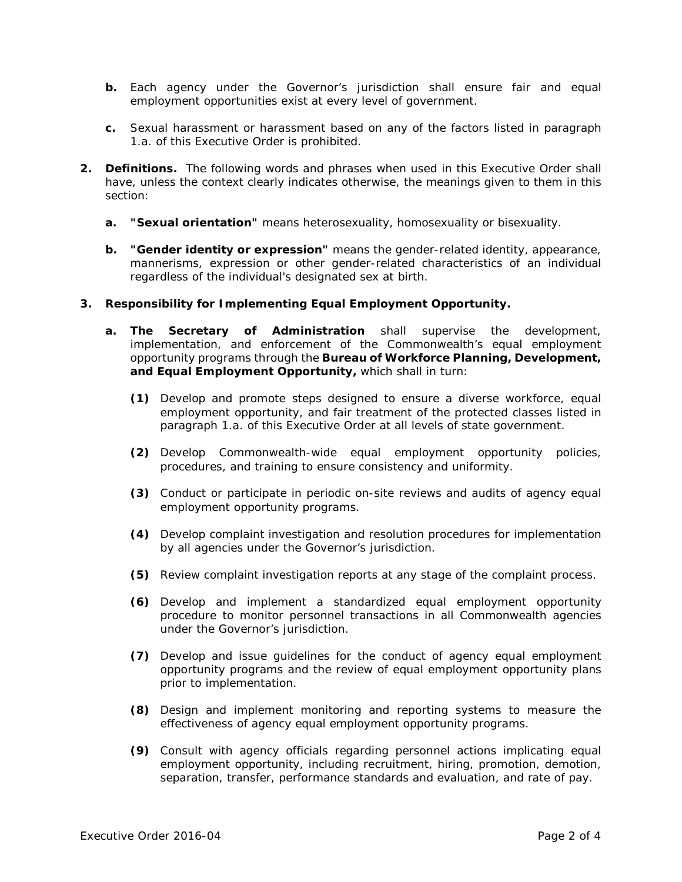- **b.** Each agency under the Governor's jurisdiction shall ensure fair and equal employment opportunities exist at every level of government.
- **c.** Sexual harassment or harassment based on any of the factors listed in paragraph 1.a. of this Executive Order is prohibited.
- **2. Definitions.** The following words and phrases when used in this Executive Order shall have, unless the context clearly indicates otherwise, the meanings given to them in this section:
	- **a. "Sexual orientation"** means heterosexuality, homosexuality or bisexuality.
	- **b. "Gender identity or expression"** means the gender-related identity, appearance, mannerisms, expression or other gender-related characteristics of an individual regardless of the individual's designated sex at birth.
- **3. Responsibility for Implementing Equal Employment Opportunity.**
	- **a. The Secretary of Administration** shall supervise the development, implementation, and enforcement of the Commonwealth's equal employment opportunity programs through the **Bureau of Workforce Planning, Development, and Equal Employment Opportunity,** which shall in turn:
		- **(1)** Develop and promote steps designed to ensure a diverse workforce, equal employment opportunity, and fair treatment of the protected classes listed in paragraph 1.a. of this Executive Order at all levels of state government.
		- **(2)** Develop Commonwealth-wide equal employment opportunity policies, procedures, and training to ensure consistency and uniformity.
		- **(3)** Conduct or participate in periodic on-site reviews and audits of agency equal employment opportunity programs.
		- **(4)** Develop complaint investigation and resolution procedures for implementation by all agencies under the Governor's jurisdiction.
		- **(5)** Review complaint investigation reports at any stage of the complaint process.
		- **(6)** Develop and implement a standardized equal employment opportunity procedure to monitor personnel transactions in all Commonwealth agencies under the Governor's jurisdiction.
		- **(7)** Develop and issue guidelines for the conduct of agency equal employment opportunity programs and the review of equal employment opportunity plans prior to implementation.
		- **(8)** Design and implement monitoring and reporting systems to measure the effectiveness of agency equal employment opportunity programs.
		- **(9)** Consult with agency officials regarding personnel actions implicating equal employment opportunity, including recruitment, hiring, promotion, demotion, separation, transfer, performance standards and evaluation, and rate of pay.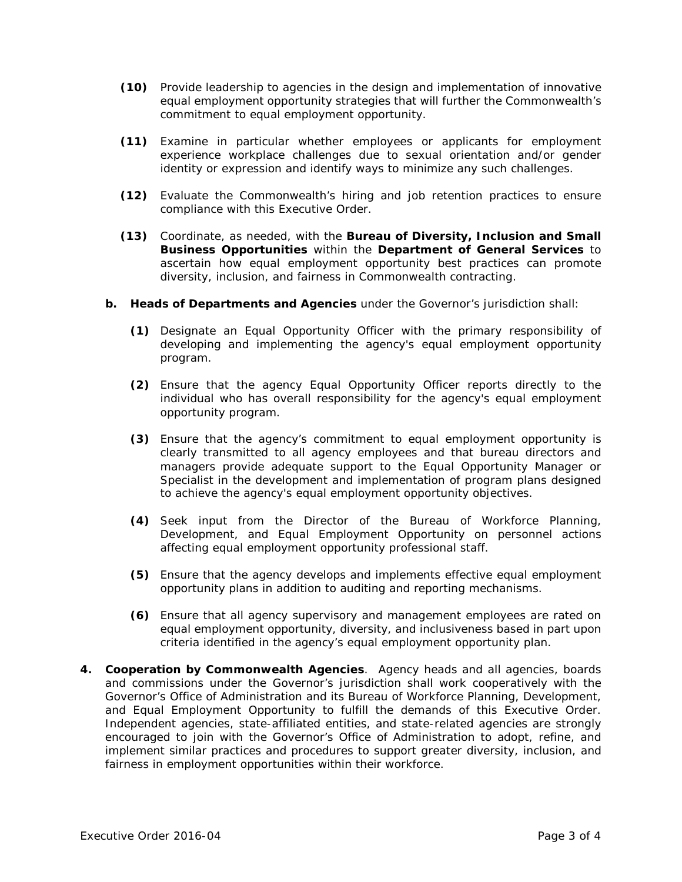- **(10)** Provide leadership to agencies in the design and implementation of innovative equal employment opportunity strategies that will further the Commonwealth's commitment to equal employment opportunity.
- **(11)** Examine in particular whether employees or applicants for employment experience workplace challenges due to sexual orientation and/or gender identity or expression and identify ways to minimize any such challenges.
- **(12)** Evaluate the Commonwealth's hiring and job retention practices to ensure compliance with this Executive Order.
- **(13)** Coordinate, as needed, with the **Bureau of Diversity, Inclusion and Small Business Opportunities** within the **Department of General Services** to ascertain how equal employment opportunity best practices can promote diversity, inclusion, and fairness in Commonwealth contracting.
- **b. Heads of Departments and Agencies** under the Governor's jurisdiction shall:
	- **(1)** Designate an Equal Opportunity Officer with the primary responsibility of developing and implementing the agency's equal employment opportunity program.
	- **(2)** Ensure that the agency Equal Opportunity Officer reports directly to the individual who has overall responsibility for the agency's equal employment opportunity program.
	- **(3)** Ensure that the agency's commitment to equal employment opportunity is clearly transmitted to all agency employees and that bureau directors and managers provide adequate support to the Equal Opportunity Manager or Specialist in the development and implementation of program plans designed to achieve the agency's equal employment opportunity objectives.
	- **(4)** Seek input from the Director of the Bureau of Workforce Planning, Development, and Equal Employment Opportunity on personnel actions affecting equal employment opportunity professional staff.
	- **(5)** Ensure that the agency develops and implements effective equal employment opportunity plans in addition to auditing and reporting mechanisms.
	- **(6)** Ensure that all agency supervisory and management employees are rated on equal employment opportunity, diversity, and inclusiveness based in part upon criteria identified in the agency's equal employment opportunity plan.
- **4. Cooperation by Commonwealth Agencies**. Agency heads and all agencies, boards and commissions under the Governor's jurisdiction shall work cooperatively with the Governor's Office of Administration and its Bureau of Workforce Planning, Development, and Equal Employment Opportunity to fulfill the demands of this Executive Order. Independent agencies, state-affiliated entities, and state-related agencies are strongly encouraged to join with the Governor's Office of Administration to adopt, refine, and implement similar practices and procedures to support greater diversity, inclusion, and fairness in employment opportunities within their workforce.